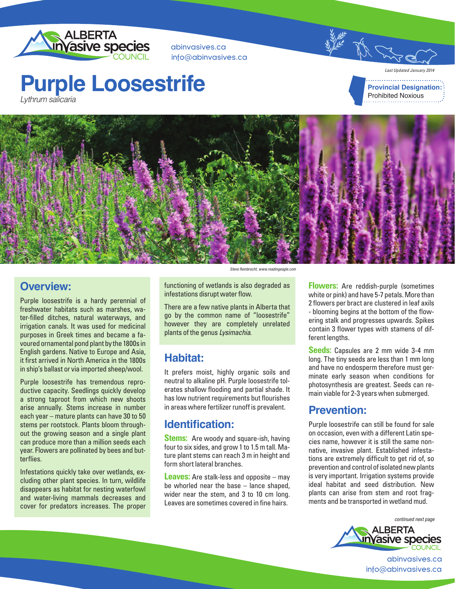

abinvasives.ca info@abinvasives.ca

## **Purple Loosestrife** Lythrum salicaria

*Last Updated January 2014* **Provincial Designation:** Prohibited Noxious



#### **Overview:**

Purple loosestrife is a hardy perennial of freshwater habitats such as marshes, water-filled ditches, natural waterways, and irrigation canals. It was used for medicinal purposes in Greek times and became a favoured ornamental pond plant by the 1800s in English gardens. Native to Europe and Asia, it first arrived in North America in the 1800s in ship's ballast or via imported sheep/wool.

Purple loosestrife has tremendous reproductive capacity. Seedlings quickly develop a strong taproot from which new shoots arise annually. Stems increase in number each year – mature plants can have 30 to 50 stems per rootstock. Plants bloom throughout the growing season and a single plant can produce more than a million seeds each year. Flowers are pollinated by bees and butterflies.

Infestations quickly take over wetlands, excluding other plant species. In turn, wildlife disappears as habitat for nesting waterfowl and water-living mammals decreases and cover for predators increases. The proper

Steve Reinbrecht, www.readingeagle.com

functioning of wetlands is also degraded as infestations disrupt water flow.

There are a few native plants in Alberta that go by the common name of "loosestrife" however they are completely unrelated plants of the genus *Lysimachia*.

#### **Habitat:**

It prefers moist, highly organic soils and neutral to alkaline pH. Purple loosestrife tolerates shallow flooding and partial shade. It has low nutrient requirements but flourishes in areas where fertilizer runoff is prevalent.

#### **Identification:**

**Stems:** Are woody and square-ish, having four to six sides, and grow 1 to 1.5 m tall. Mature plant stems can reach 3 m in height and form short lateral branches.

**Leaves:** Are stalk-less and opposite – may be whorled near the base – lance shaped, wider near the stem, and 3 to 10 cm long. Leaves are sometimes covered in fine hairs.

**Flowers:** Are reddish-purple (sometimes white or pink) and have 5-7 petals. More than 2 flowers per bract are clustered in leaf axils - blooming begins at the bottom of the flowering stalk and progresses upwards. Spikes contain 3 flower types with stamens of different lengths.

**Seeds:** Capsules are 2 mm wide 3-4 mm long. The tiny seeds are less than 1 mm long and have no endosperm therefore must germinate early season when conditions for photosynthesis are greatest. Seeds can remain viable for 2-3 years when submerged.

#### **Prevention:**

Purple loosestrife can still be found for sale on occasion, even with a different Latin species name, however it is still the same nonnative, invasive plant. Established infestations are extremely difficult to get rid of, so prevention and control of isolated new plants is very important. Irrigation systems provide ideal habitat and seed distribution. New plants can arise from stem and root fragments and be transported in wetland mud.

continued next page



abinvasives.ca info@abinvasives.ca